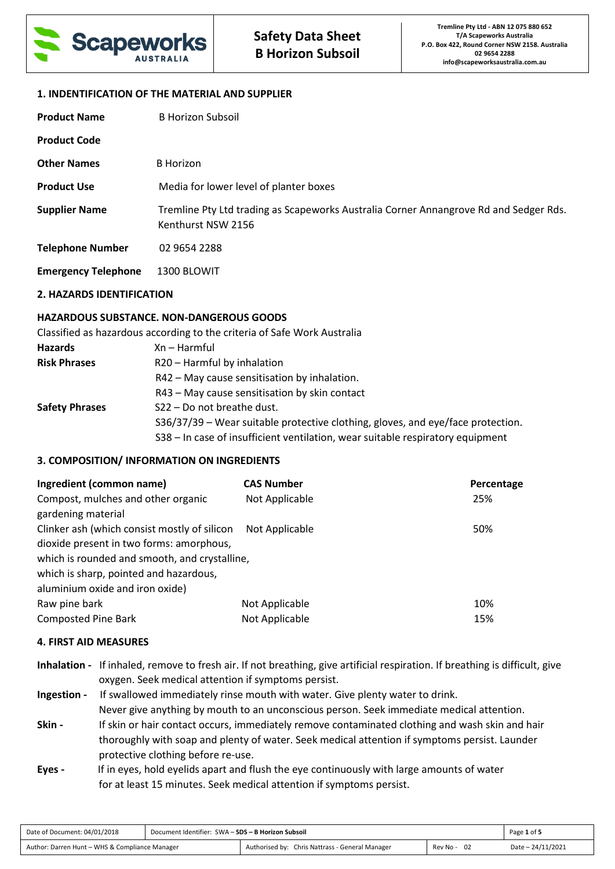

#### **1. INDENTIFICATION OF THE MATERIAL AND SUPPLIER**

| <b>Product Name</b>        | <b>B Horizon Subsoil</b>                                                                                    |
|----------------------------|-------------------------------------------------------------------------------------------------------------|
| <b>Product Code</b>        |                                                                                                             |
| <b>Other Names</b>         | <b>B</b> Horizon                                                                                            |
| <b>Product Use</b>         | Media for lower level of planter boxes                                                                      |
| <b>Supplier Name</b>       | Tremline Pty Ltd trading as Scapeworks Australia Corner Annangrove Rd and Sedger Rds.<br>Kenthurst NSW 2156 |
| <b>Telephone Number</b>    | 02 9654 2288                                                                                                |
| <b>Emergency Telephone</b> | 1300 BLOWIT                                                                                                 |

## **2. HAZARDS IDENTIFICATION**

## **HAZARDOUS SUBSTANCE. NON-DANGEROUS GOODS**

| <b>Hazards</b>        | $Xn - Harmful$                                                                  |
|-----------------------|---------------------------------------------------------------------------------|
| <b>Risk Phrases</b>   | R20 - Harmful by inhalation                                                     |
|                       | R42 - May cause sensitisation by inhalation.                                    |
|                       | R43 – May cause sensitisation by skin contact                                   |
| <b>Safety Phrases</b> | S22 - Do not breathe dust.                                                      |
|                       | S36/37/39 - Wear suitable protective clothing, gloves, and eye/face protection. |
|                       | S38 – In case of insufficient ventilation, wear suitable respiratory equipment  |

## **3. COMPOSITION/ INFORMATION ON INGREDIENTS**

| Ingredient (common name)                                                                                                                                                                                               | <b>CAS Number</b> | Percentage |
|------------------------------------------------------------------------------------------------------------------------------------------------------------------------------------------------------------------------|-------------------|------------|
| Compost, mulches and other organic<br>gardening material                                                                                                                                                               | Not Applicable    | 25%        |
| Clinker ash (which consist mostly of silicon<br>dioxide present in two forms: amorphous,<br>which is rounded and smooth, and crystalline,<br>which is sharp, pointed and hazardous,<br>aluminium oxide and iron oxide) | Not Applicable    | 50%        |
| Raw pine bark                                                                                                                                                                                                          | Not Applicable    | 10%        |
| <b>Composted Pine Bark</b>                                                                                                                                                                                             | Not Applicable    | 15%        |

## **4. FIRST AID MEASURES**

| Inhalation - If inhaled, remove to fresh air. If not breathing, give artificial respiration. If breathing is difficult, give |
|------------------------------------------------------------------------------------------------------------------------------|
| oxygen. Seek medical attention if symptoms persist.                                                                          |

**Ingestion -** If swallowed immediately rinse mouth with water. Give plenty water to drink. Never give anything by mouth to an unconscious person. Seek immediate medical attention. **Skin - If skin or hair contact occurs, immediately remove contaminated clothing and wash skin and hair**  thoroughly with soap and plenty of water. Seek medical attention if symptoms persist. Launder protective clothing before re-use.

**Eyes -** If in eyes, hold eyelids apart and flush the eye continuously with large amounts of water for at least 15 minutes. Seek medical attention if symptoms persist.

| Date of Document: 04/01/2018                   | Document Identifier: SWA - SDS - B Horizon Subsoil |                                                 |             | Page 1 of 5       |
|------------------------------------------------|----------------------------------------------------|-------------------------------------------------|-------------|-------------------|
| Author: Darren Hunt - WHS & Compliance Manager |                                                    | Authorised by: Chris Nattrass - General Manager | Rev No - 02 | Date - 24/11/2021 |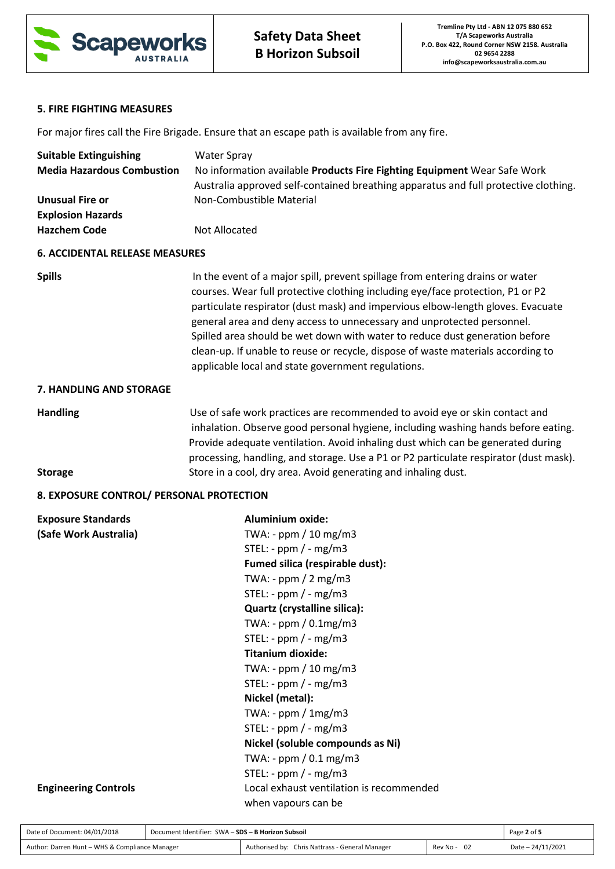

# **5. FIRE FIGHTING MEASURES**

For major fires call the Fire Brigade. Ensure that an escape path is available from any fire.

| <b>Suitable Extinguishing</b><br><b>Media Hazardous Combustion</b>        | <b>Water Spray</b><br>No information available Products Fire Fighting Equipment Wear Safe Work<br>Australia approved self-contained breathing apparatus and full protective clothing.                                                                                                                                                                                                                                                                                                                                                                 |  |  |
|---------------------------------------------------------------------------|-------------------------------------------------------------------------------------------------------------------------------------------------------------------------------------------------------------------------------------------------------------------------------------------------------------------------------------------------------------------------------------------------------------------------------------------------------------------------------------------------------------------------------------------------------|--|--|
| <b>Unusual Fire or</b><br><b>Explosion Hazards</b><br><b>Hazchem Code</b> | Non-Combustible Material<br>Not Allocated                                                                                                                                                                                                                                                                                                                                                                                                                                                                                                             |  |  |
| <b>6. ACCIDENTAL RELEASE MEASURES</b>                                     |                                                                                                                                                                                                                                                                                                                                                                                                                                                                                                                                                       |  |  |
| <b>Spills</b>                                                             | In the event of a major spill, prevent spillage from entering drains or water<br>courses. Wear full protective clothing including eye/face protection, P1 or P2<br>particulate respirator (dust mask) and impervious elbow-length gloves. Evacuate<br>general area and deny access to unnecessary and unprotected personnel.<br>Spilled area should be wet down with water to reduce dust generation before<br>clean-up. If unable to reuse or recycle, dispose of waste materials according to<br>applicable local and state government regulations. |  |  |
| <b>7. HANDLING AND STORAGE</b>                                            |                                                                                                                                                                                                                                                                                                                                                                                                                                                                                                                                                       |  |  |
| <b>Handling</b>                                                           | Use of safe work practices are recommended to avoid eye or skin contact and<br>inhalation. Observe good personal hygiene, including washing hands before eating.<br>Provide adequate ventilation. Avoid inhaling dust which can be generated during<br>processing, handling, and storage. Use a P1 or P2 particulate respirator (dust mask).<br>Store in a cool, dry area. Avoid generating and inhaling dust.                                                                                                                                        |  |  |
| <b>Storage</b>                                                            |                                                                                                                                                                                                                                                                                                                                                                                                                                                                                                                                                       |  |  |
| 8. EXPOSURE CONTROL/ PERSONAL PROTECTION                                  |                                                                                                                                                                                                                                                                                                                                                                                                                                                                                                                                                       |  |  |
| <b>Exposure Standards</b><br>(Safe Work Australia)                        | <b>Aluminium oxide:</b><br>TWA: - ppm / 10 mg/m3<br>STEL: - $ppm$ / - $mg/m3$<br>Fumed silica (respirable dust):<br>TWA: - ppm / 2 mg/m3<br>STEL: - ppm $/$ - mg/m3<br>Quartz (crystalline silica):<br>TWA: - $ppm / 0.1mg/m3$<br>STEL: - $ppm$ / - $mg/m3$<br><b>Titanium dioxide:</b><br>TWA: - ppm / 10 mg/m3<br>STEL: - $ppm$ / - $mg/m3$<br>Nickel (metal):<br>TWA: - $ppm / 1mg/m3$<br>STEL: - ppm $/$ - mg/m3<br>Nickel (soluble compounds as Ni)<br>TWA: - $ppm / 0.1 mg/m3$<br>STEL: - $ppm$ / - $mg/m3$                                     |  |  |
| <b>Engineering Controls</b>                                               | Local exhaust ventilation is recommended<br>when vapours can be                                                                                                                                                                                                                                                                                                                                                                                                                                                                                       |  |  |

| Date of Document: 04/01/2018                   | Document Identifier: SWA - SDS - B Horizon Subsoil |                                                 |          | Page 2 of 5       |
|------------------------------------------------|----------------------------------------------------|-------------------------------------------------|----------|-------------------|
| Author: Darren Hunt - WHS & Compliance Manager |                                                    | Authorised by: Chris Nattrass - General Manager | Rev No - | Date - 24/11/2021 |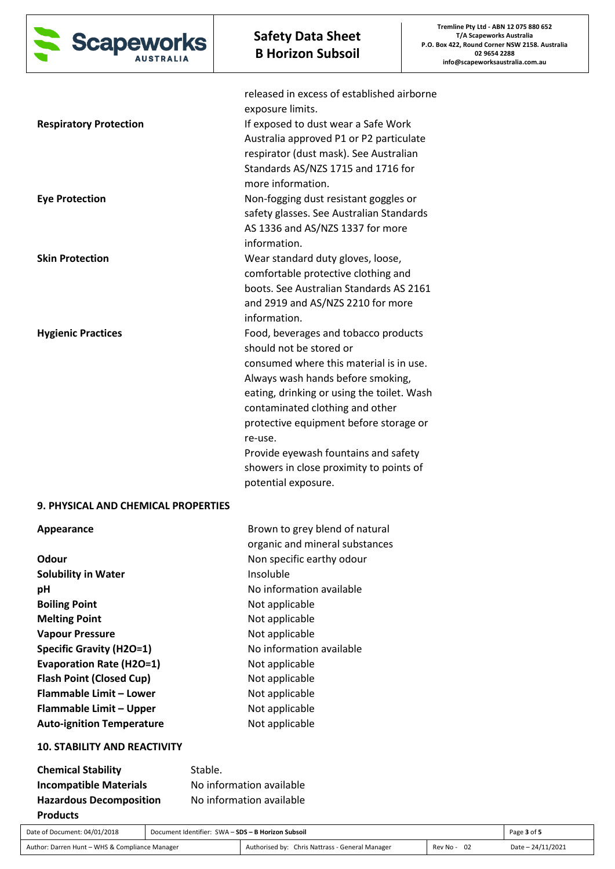

| <b>Respiratory Protection</b>       | released in excess of established airborne<br>exposure limits.<br>If exposed to dust wear a Safe Work<br>Australia approved P1 or P2 particulate<br>respirator (dust mask). See Australian<br>Standards AS/NZS 1715 and 1716 for<br>more information.                                                                                                                                           |
|-------------------------------------|-------------------------------------------------------------------------------------------------------------------------------------------------------------------------------------------------------------------------------------------------------------------------------------------------------------------------------------------------------------------------------------------------|
| <b>Eye Protection</b>               | Non-fogging dust resistant goggles or<br>safety glasses. See Australian Standards<br>AS 1336 and AS/NZS 1337 for more<br>information.                                                                                                                                                                                                                                                           |
| <b>Skin Protection</b>              | Wear standard duty gloves, loose,<br>comfortable protective clothing and<br>boots. See Australian Standards AS 2161<br>and 2919 and AS/NZS 2210 for more<br>information.                                                                                                                                                                                                                        |
| <b>Hygienic Practices</b>           | Food, beverages and tobacco products<br>should not be stored or<br>consumed where this material is in use.<br>Always wash hands before smoking,<br>eating, drinking or using the toilet. Wash<br>contaminated clothing and other<br>protective equipment before storage or<br>re-use.<br>Provide eyewash fountains and safety<br>showers in close proximity to points of<br>potential exposure. |
| 9. PHYSICAL AND CHEMICAL PROPERTIES |                                                                                                                                                                                                                                                                                                                                                                                                 |
| Appearance                          | Brown to grey blend of natural<br>organic and mineral substances                                                                                                                                                                                                                                                                                                                                |
| Odour<br>e 21. de 11. de 12. de 1   | Non specific earthy odour<br>المسالمات المتمسط                                                                                                                                                                                                                                                                                                                                                  |

| vuvui                            | <b>INUIT SPECIFIC CALLITY UUUU</b> |
|----------------------------------|------------------------------------|
| <b>Solubility in Water</b>       | Insoluble                          |
| рH                               | No information available           |
| <b>Boiling Point</b>             | Not applicable                     |
| <b>Melting Point</b>             | Not applicable                     |
| <b>Vapour Pressure</b>           | Not applicable                     |
| <b>Specific Gravity (H2O=1)</b>  | No information available           |
| <b>Evaporation Rate (H2O=1)</b>  | Not applicable                     |
| <b>Flash Point (Closed Cup)</b>  | Not applicable                     |
| <b>Flammable Limit - Lower</b>   | Not applicable                     |
| <b>Flammable Limit - Upper</b>   | Not applicable                     |
| <b>Auto-ignition Temperature</b> | Not applicable                     |
|                                  |                                    |

## **10. STABILITY AND REACTIVITY**

| <b>Chemical Stability</b>      | Stable.                  |
|--------------------------------|--------------------------|
| <b>Incompatible Materials</b>  | No information available |
| <b>Hazardous Decomposition</b> | No information available |
| <b>Products</b>                |                          |

| Date of Document: 04/01/2018                   | Document Identifier: SWA - SDS - B Horizon Subsoil |                                                 |          | Page 3 of 5       |
|------------------------------------------------|----------------------------------------------------|-------------------------------------------------|----------|-------------------|
| Author: Darren Hunt - WHS & Compliance Manager |                                                    | Authorised by: Chris Nattrass - General Manager | Rev No - | Date - 24/11/2021 |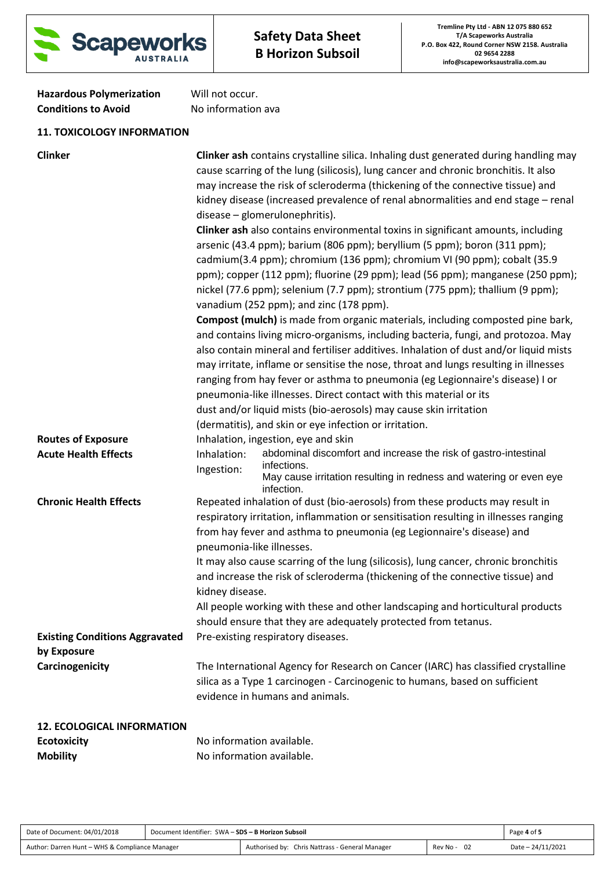

| <b>Hazardous Polymerization</b> | Will not occur.    |
|---------------------------------|--------------------|
| <b>Conditions to Avoid</b>      | No information ava |

# **11. TOXICOLOGY INFORMATION**

| <b>Clinker</b>                        |                                                        | <b>Clinker ash contains crystalline silica. Inhaling dust generated during handling may</b><br>cause scarring of the lung (silicosis), lung cancer and chronic bronchitis. It also<br>may increase the risk of scleroderma (thickening of the connective tissue) and<br>kidney disease (increased prevalence of renal abnormalities and end stage - renal<br>disease - glomerulonephritis).<br>Clinker ash also contains environmental toxins in significant amounts, including<br>arsenic (43.4 ppm); barium (806 ppm); beryllium (5 ppm); boron (311 ppm);<br>cadmium(3.4 ppm); chromium (136 ppm); chromium VI (90 ppm); cobalt (35.9<br>ppm); copper (112 ppm); fluorine (29 ppm); lead (56 ppm); manganese (250 ppm);<br>nickel (77.6 ppm); selenium (7.7 ppm); strontium (775 ppm); thallium (9 ppm);<br>vanadium (252 ppm); and zinc (178 ppm).<br><b>Compost (mulch)</b> is made from organic materials, including composted pine bark, |  |
|---------------------------------------|--------------------------------------------------------|-------------------------------------------------------------------------------------------------------------------------------------------------------------------------------------------------------------------------------------------------------------------------------------------------------------------------------------------------------------------------------------------------------------------------------------------------------------------------------------------------------------------------------------------------------------------------------------------------------------------------------------------------------------------------------------------------------------------------------------------------------------------------------------------------------------------------------------------------------------------------------------------------------------------------------------------------|--|
|                                       |                                                        | and contains living micro-organisms, including bacteria, fungi, and protozoa. May<br>also contain mineral and fertiliser additives. Inhalation of dust and/or liquid mists<br>may irritate, inflame or sensitise the nose, throat and lungs resulting in illnesses<br>ranging from hay fever or asthma to pneumonia (eg Legionnaire's disease) I or<br>pneumonia-like illnesses. Direct contact with this material or its                                                                                                                                                                                                                                                                                                                                                                                                                                                                                                                       |  |
|                                       |                                                        | dust and/or liquid mists (bio-aerosols) may cause skin irritation                                                                                                                                                                                                                                                                                                                                                                                                                                                                                                                                                                                                                                                                                                                                                                                                                                                                               |  |
|                                       | (dermatitis), and skin or eye infection or irritation. |                                                                                                                                                                                                                                                                                                                                                                                                                                                                                                                                                                                                                                                                                                                                                                                                                                                                                                                                                 |  |
| <b>Routes of Exposure</b>             |                                                        | Inhalation, ingestion, eye and skin                                                                                                                                                                                                                                                                                                                                                                                                                                                                                                                                                                                                                                                                                                                                                                                                                                                                                                             |  |
| <b>Acute Health Effects</b>           | Inhalation:<br>Ingestion:                              | abdominal discomfort and increase the risk of gastro-intestinal<br>infections.<br>May cause irritation resulting in redness and watering or even eye<br>infection.                                                                                                                                                                                                                                                                                                                                                                                                                                                                                                                                                                                                                                                                                                                                                                              |  |
| <b>Chronic Health Effects</b>         | pneumonia-like illnesses.<br>kidney disease.           | Repeated inhalation of dust (bio-aerosols) from these products may result in<br>respiratory irritation, inflammation or sensitisation resulting in illnesses ranging<br>from hay fever and asthma to pneumonia (eg Legionnaire's disease) and<br>It may also cause scarring of the lung (silicosis), lung cancer, chronic bronchitis<br>and increase the risk of scleroderma (thickening of the connective tissue) and<br>All people working with these and other landscaping and horticultural products<br>should ensure that they are adequately protected from tetanus.                                                                                                                                                                                                                                                                                                                                                                      |  |
| <b>Existing Conditions Aggravated</b> |                                                        | Pre-existing respiratory diseases.                                                                                                                                                                                                                                                                                                                                                                                                                                                                                                                                                                                                                                                                                                                                                                                                                                                                                                              |  |
| by Exposure                           |                                                        |                                                                                                                                                                                                                                                                                                                                                                                                                                                                                                                                                                                                                                                                                                                                                                                                                                                                                                                                                 |  |
| Carcinogenicity                       |                                                        | The International Agency for Research on Cancer (IARC) has classified crystalline<br>silica as a Type 1 carcinogen - Carcinogenic to humans, based on sufficient<br>evidence in humans and animals.                                                                                                                                                                                                                                                                                                                                                                                                                                                                                                                                                                                                                                                                                                                                             |  |
| <b>12. ECOLOGICAL INFORMATION</b>     |                                                        |                                                                                                                                                                                                                                                                                                                                                                                                                                                                                                                                                                                                                                                                                                                                                                                                                                                                                                                                                 |  |
| <b>Ecotoxicity</b>                    | No information available.                              |                                                                                                                                                                                                                                                                                                                                                                                                                                                                                                                                                                                                                                                                                                                                                                                                                                                                                                                                                 |  |

| LUULUAILILY     | <u>ivu iliulillatiuli avaliable.</u> |
|-----------------|--------------------------------------|
| <b>Mobility</b> | No information available.            |

| Date of Document: 04/01/2018                   | Document Identifier: SWA - SDS - B Horizon Subsoil |                                                 |                  | Page 4 of 5       |
|------------------------------------------------|----------------------------------------------------|-------------------------------------------------|------------------|-------------------|
| Author: Darren Hunt - WHS & Compliance Manager |                                                    | Authorised by: Chris Nattrass - General Manager | - 02<br>Rev No - | Date - 24/11/2021 |